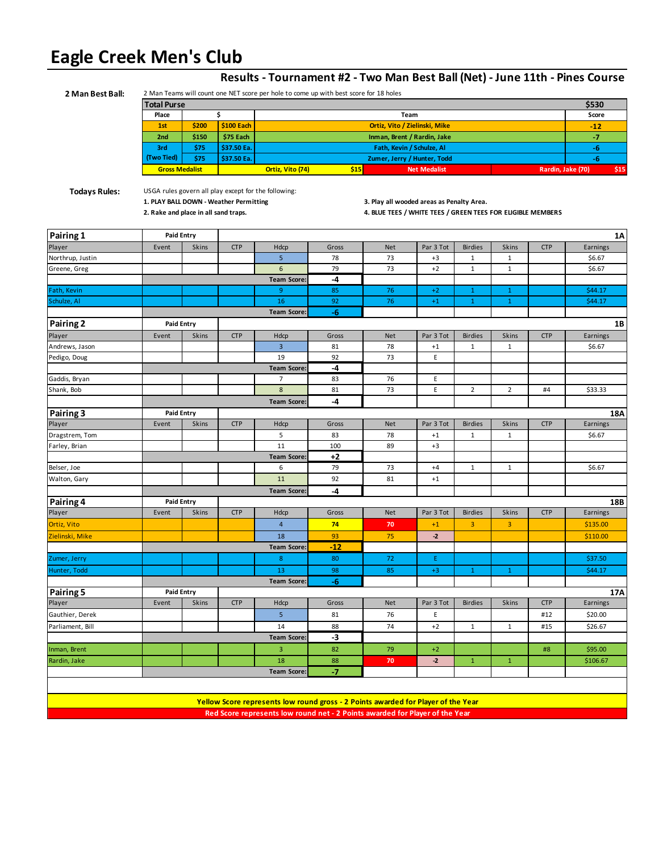# **Eagle Creek Men's Club**

| 2 Man Best Ball:     |                                                             | 2 Man Teams will count one NET score per hole to come up with best score for 18 holes |                                                                                                |                                                                                   |       |            |                                                                                                          |                |                |                   |                 |
|----------------------|-------------------------------------------------------------|---------------------------------------------------------------------------------------|------------------------------------------------------------------------------------------------|-----------------------------------------------------------------------------------|-------|------------|----------------------------------------------------------------------------------------------------------|----------------|----------------|-------------------|-----------------|
|                      | <b>Total Purse</b>                                          |                                                                                       |                                                                                                |                                                                                   |       |            |                                                                                                          | \$530          |                |                   |                 |
|                      | \$<br>Place<br>Team                                         |                                                                                       |                                                                                                |                                                                                   |       |            |                                                                                                          | Score          |                |                   |                 |
|                      | \$200<br>\$100 Each<br>Ortiz, Vito / Zielinski, Mike<br>1st |                                                                                       |                                                                                                |                                                                                   |       |            |                                                                                                          | $-12$          |                |                   |                 |
|                      | 2 <sub>nd</sub>                                             | \$150                                                                                 | \$75 Each                                                                                      |                                                                                   |       |            | Inman, Brent / Rardin, Jake                                                                              |                |                |                   | -7              |
|                      | 3rd                                                         | \$75                                                                                  | \$37.50 Ea.                                                                                    |                                                                                   |       |            | Fath, Kevin / Schulze, Al                                                                                |                |                |                   | -6              |
|                      | (Two Tied)                                                  | \$75                                                                                  | \$37.50 Ea.                                                                                    |                                                                                   |       |            | Zumer, Jerry / Hunter, Todd                                                                              |                |                |                   | -6              |
|                      | <b>Gross Medalist</b>                                       |                                                                                       |                                                                                                | Ortiz, Vito (74)                                                                  | \$15  |            | <b>Net Medalist</b>                                                                                      |                |                | Rardin, Jake (70) | \$15            |
| <b>Todays Rules:</b> | 2. Rake and place in all sand traps.                        |                                                                                       | USGA rules govern all play except for the following:<br>1. PLAY BALL DOWN - Weather Permitting |                                                                                   |       |            | 3. Play all wooded areas as Penalty Area.<br>4. BLUE TEES / WHITE TEES / GREEN TEES FOR ELIGIBLE MEMBERS |                |                |                   |                 |
| Pairing 1            | <b>Paid Entry</b>                                           |                                                                                       |                                                                                                |                                                                                   |       |            |                                                                                                          |                |                |                   | 1A              |
| Player               | Event                                                       | Skins                                                                                 | <b>CTP</b>                                                                                     | Hdcp                                                                              | Gross | <b>Net</b> | Par 3 Tot                                                                                                | <b>Birdies</b> | <b>Skins</b>   | <b>CTP</b>        | Earnings        |
| Northrup, Justin     |                                                             |                                                                                       |                                                                                                | 5                                                                                 | 78    | 73         | $+3$                                                                                                     | $\mathbf{1}$   | $\mathbf 1$    |                   | \$6.67          |
| Greene, Greg         |                                                             |                                                                                       |                                                                                                | 6                                                                                 | 79    | 73         | $+2$                                                                                                     | $\mathbf{1}$   | $\mathbf 1$    |                   | \$6.67          |
|                      |                                                             |                                                                                       |                                                                                                | <b>Team Score:</b>                                                                | -4    |            |                                                                                                          |                |                |                   |                 |
| Fath, Kevin          |                                                             |                                                                                       |                                                                                                | 9                                                                                 | 85    | 76         | $+2$                                                                                                     | $\mathbf{1}$   | $\mathbf{1}$   |                   | \$44.17         |
| Schulze, Al          |                                                             |                                                                                       |                                                                                                | 16                                                                                | 92    | 76         | $+1$                                                                                                     | $\mathbf{1}$   | $\mathbf{1}$   |                   | \$44.17         |
|                      |                                                             |                                                                                       |                                                                                                | <b>Team Score:</b>                                                                | -6    |            |                                                                                                          |                |                |                   |                 |
| <b>Pairing 2</b>     | <b>Paid Entry</b>                                           |                                                                                       |                                                                                                |                                                                                   |       |            |                                                                                                          |                |                |                   | 1B              |
| Player               | Event                                                       | Skins                                                                                 | <b>CTP</b>                                                                                     | Hdcp                                                                              | Gross | <b>Net</b> | Par 3 Tot                                                                                                | <b>Birdies</b> | <b>Skins</b>   | <b>CTP</b>        | Earnings        |
| Andrews, Jason       |                                                             |                                                                                       |                                                                                                | 3                                                                                 | 81    | 78         | $+1$                                                                                                     | 1              | 1              |                   | \$6.67          |
| Pedigo, Doug         |                                                             |                                                                                       |                                                                                                | 19                                                                                | 92    | 73         | E                                                                                                        |                |                |                   |                 |
|                      |                                                             |                                                                                       |                                                                                                | <b>Team Score:</b>                                                                | -4    |            |                                                                                                          |                |                |                   |                 |
| Gaddis, Bryan        |                                                             |                                                                                       |                                                                                                | 7                                                                                 | 83    | 76         | E                                                                                                        |                |                |                   |                 |
| Shank, Bob           |                                                             |                                                                                       |                                                                                                | 8                                                                                 | 81    | 73         | E                                                                                                        | $\overline{2}$ | $\overline{2}$ | #4                | \$33.33         |
|                      |                                                             |                                                                                       |                                                                                                | <b>Team Score:</b>                                                                | -4    |            |                                                                                                          |                |                |                   |                 |
|                      | <b>Paid Entry</b>                                           |                                                                                       |                                                                                                |                                                                                   |       |            |                                                                                                          |                |                |                   |                 |
| Pairing 3            | Event                                                       | Skins                                                                                 | <b>CTP</b>                                                                                     | Hdcp                                                                              | Gross | <b>Net</b> | Par 3 Tot                                                                                                | <b>Birdies</b> | Skins          | <b>CTP</b>        | 18A<br>Earnings |
| Player               |                                                             |                                                                                       |                                                                                                | 5                                                                                 | 83    | 78         |                                                                                                          |                |                |                   | \$6.67          |
| Dragstrem, Tom       |                                                             |                                                                                       |                                                                                                | 11                                                                                |       |            | $+1$                                                                                                     | 1              | $\mathbf{1}$   |                   |                 |
| Farley, Brian        |                                                             |                                                                                       |                                                                                                |                                                                                   | 100   | 89         | $+3$                                                                                                     |                |                |                   |                 |
|                      |                                                             |                                                                                       |                                                                                                | <b>Team Score:</b>                                                                | +2    |            |                                                                                                          |                |                |                   |                 |
| Belser, Joe          |                                                             |                                                                                       |                                                                                                | 6                                                                                 | 79    | 73         | $+4$                                                                                                     | $\mathbf{1}$   | $\mathbf{1}$   |                   | \$6.67          |
| Walton, Gary         |                                                             |                                                                                       |                                                                                                | 11                                                                                | 92    | 81         | $+1$                                                                                                     |                |                |                   |                 |
|                      |                                                             |                                                                                       |                                                                                                | <b>Team Score:</b>                                                                | -4    |            |                                                                                                          |                |                |                   |                 |
| Pairing 4            | <b>Paid Entry</b>                                           |                                                                                       |                                                                                                |                                                                                   |       |            |                                                                                                          |                |                |                   | 18B             |
| Player               | Event                                                       | Skins                                                                                 | <b>CTP</b>                                                                                     | Hdcp                                                                              | Gross | <b>Net</b> | Par 3 Tot                                                                                                | <b>Birdies</b> | Skins          | <b>CTP</b>        | Earnings        |
| Ortiz, Vito          |                                                             |                                                                                       |                                                                                                | 4                                                                                 | 74    | 70         | $+1$                                                                                                     | 3              | 3              |                   | \$135.00        |
| Zielinski, Mike      |                                                             |                                                                                       |                                                                                                | 18                                                                                | 93    | 75         | $-2$                                                                                                     |                |                |                   | \$110.00        |
|                      |                                                             |                                                                                       |                                                                                                | Team Score:                                                                       | -12   |            |                                                                                                          |                |                |                   |                 |
| Zumer, Jerry         |                                                             |                                                                                       |                                                                                                | 8                                                                                 | 80    | 72         | E.                                                                                                       |                |                |                   | \$37.50         |
| Hunter, Todd         |                                                             |                                                                                       |                                                                                                | 13                                                                                | 98    | 85         | $+3$                                                                                                     | $\mathbf{1}$   | $\mathbf{1}$   |                   | \$44.17         |
|                      |                                                             |                                                                                       |                                                                                                | <b>Team Score:</b>                                                                | $-6$  |            |                                                                                                          |                |                |                   |                 |
| Pairing 5            | <b>Paid Entry</b>                                           |                                                                                       |                                                                                                |                                                                                   |       |            |                                                                                                          |                |                |                   | 17A             |
| Player               | Event                                                       | Skins                                                                                 | <b>CTP</b>                                                                                     | Hdcp                                                                              | Gross | <b>Net</b> | Par 3 Tot                                                                                                | <b>Birdies</b> | Skins          | <b>CTP</b>        | Earnings        |
| Gauthier, Derek      |                                                             |                                                                                       |                                                                                                | 5 <sup>1</sup>                                                                    | 81    | 76         | E                                                                                                        |                |                | #12               | \$20.00         |
| Parliament, Bill     |                                                             |                                                                                       |                                                                                                | 14                                                                                | 88    | 74         | $+2$                                                                                                     | $\mathbf{1}$   | $\mathbf 1$    | #15               | \$26.67         |
|                      |                                                             |                                                                                       |                                                                                                | <b>Team Score:</b>                                                                | $-3$  |            |                                                                                                          |                |                |                   |                 |
|                      |                                                             |                                                                                       |                                                                                                |                                                                                   |       |            |                                                                                                          |                |                |                   |                 |
| Inman, Brent         |                                                             |                                                                                       |                                                                                                | 3                                                                                 | 82    | 79         | $+2$                                                                                                     |                |                | #8                | \$95.00         |
| Rardin, Jake         |                                                             |                                                                                       |                                                                                                | $18\,$                                                                            | 88    | 70         | $-2$                                                                                                     | $\mathbf 1$    | $\mathbf 1$    |                   | \$106.67        |
|                      |                                                             |                                                                                       |                                                                                                | <b>Team Score:</b>                                                                | $-7$  |            |                                                                                                          |                |                |                   |                 |
|                      |                                                             |                                                                                       |                                                                                                |                                                                                   |       |            |                                                                                                          |                |                |                   |                 |
|                      |                                                             |                                                                                       |                                                                                                |                                                                                   |       |            |                                                                                                          |                |                |                   |                 |
|                      |                                                             |                                                                                       |                                                                                                | Yellow Score represents low round gross - 2 Points awarded for Player of the Year |       |            |                                                                                                          |                |                |                   |                 |
|                      |                                                             |                                                                                       |                                                                                                | Red Score represents low round net - 2 Points awarded for Player of the Year      |       |            |                                                                                                          |                |                |                   |                 |

## **Results - Tournament #2 - Two Man Best Ball (Net) - June 11th - Pines Course**